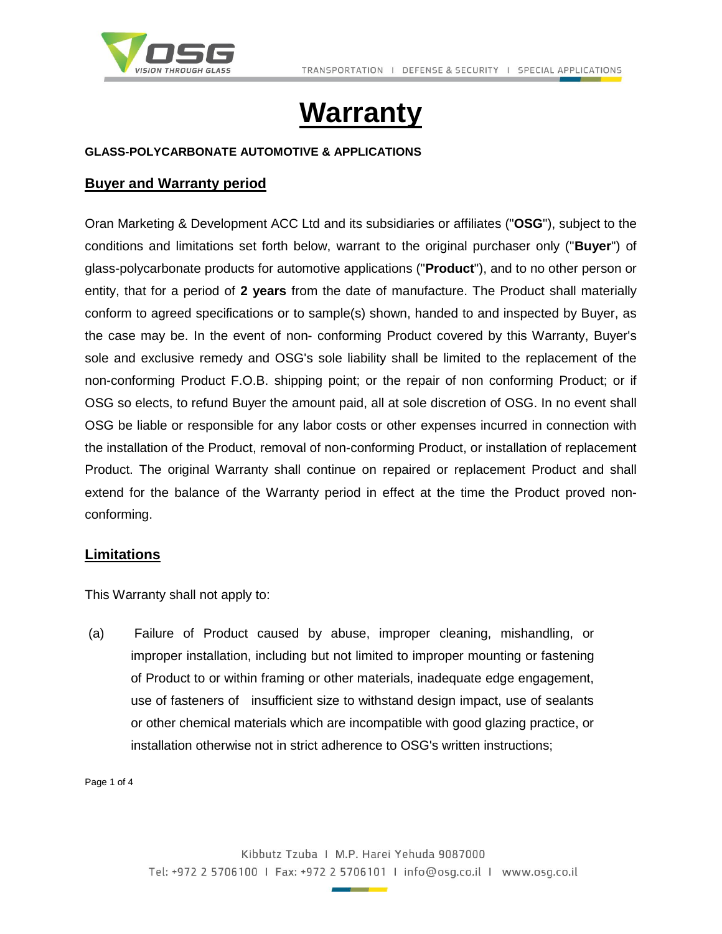

# **Warranty**

### **GLASS-POLYCARBONATE AUTOMOTIVE & APPLICATIONS**

## **Buyer and Warranty period**

Oran Marketing & Development ACC Ltd and its subsidiaries or affiliates ("**OSG**"), subject to the conditions and limitations set forth below, warrant to the original purchaser only ("**Buyer**") of glass-polycarbonate products for automotive applications ("**Product**"), and to no other person or entity, that for a period of **2 years** from the date of manufacture. The Product shall materially conform to agreed specifications or to sample(s) shown, handed to and inspected by Buyer, as the case may be. In the event of non- conforming Product covered by this Warranty, Buyer's sole and exclusive remedy and OSG's sole liability shall be limited to the replacement of the non-conforming Product F.O.B. shipping point; or the repair of non conforming Product; or if OSG so elects, to refund Buyer the amount paid, all at sole discretion of OSG. In no event shall OSG be liable or responsible for any labor costs or other expenses incurred in connection with the installation of the Product, removal of non-conforming Product, or installation of replacement Product. The original Warranty shall continue on repaired or replacement Product and shall extend for the balance of the Warranty period in effect at the time the Product proved nonconforming.

## **Limitations**

This Warranty shall not apply to:

(a) Failure of Product caused by abuse, improper cleaning, mishandling, or improper installation, including but not limited to improper mounting or fastening of Product to or within framing or other materials, inadequate edge engagement, use of fasteners of insufficient size to withstand design impact, use of sealants or other chemical materials which are incompatible with good glazing practice, or installation otherwise not in strict adherence to OSG's written instructions;

Page 1 of 4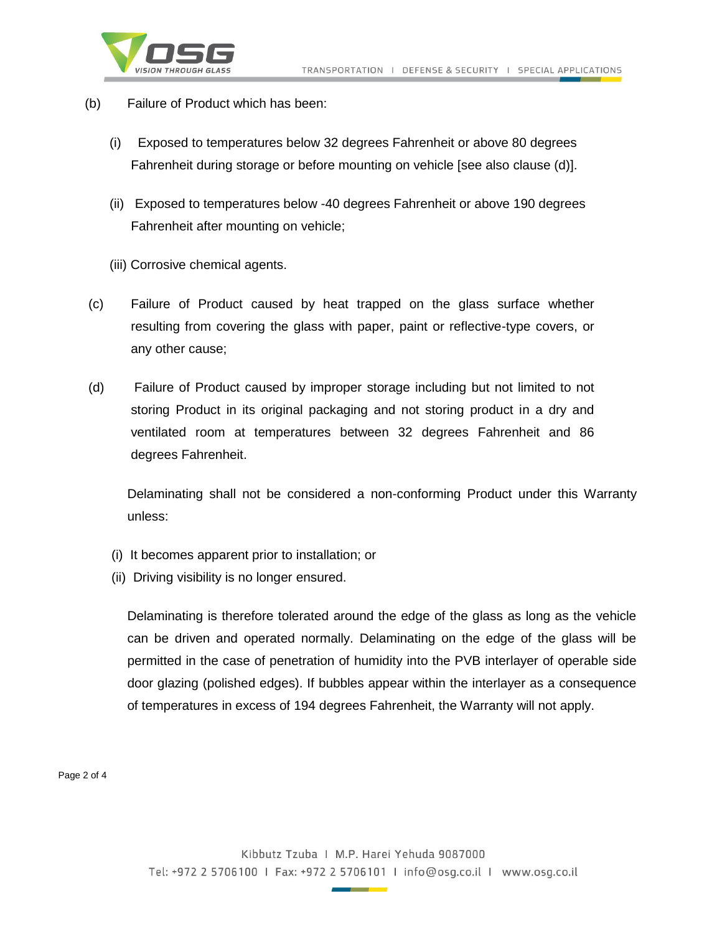

- (b) Failure of Product which has been:
	- (i) Exposed to temperatures below 32 degrees Fahrenheit or above 80 degrees Fahrenheit during storage or before mounting on vehicle [see also clause (d)].
	- (ii) Exposed to temperatures below -40 degrees Fahrenheit or above 190 degrees Fahrenheit after mounting on vehicle;
	- (iii) Corrosive chemical agents.
- (c) Failure of Product caused by heat trapped on the glass surface whether resulting from covering the glass with paper, paint or reflective-type covers, or any other cause;
- (d) Failure of Product caused by improper storage including but not limited to not storing Product in its original packaging and not storing product in a dry and ventilated room at temperatures between 32 degrees Fahrenheit and 86 degrees Fahrenheit.

Delaminating shall not be considered a non-conforming Product under this Warranty unless:

- (i) It becomes apparent prior to installation; or
- (ii) Driving visibility is no longer ensured.

Delaminating is therefore tolerated around the edge of the glass as long as the vehicle can be driven and operated normally. Delaminating on the edge of the glass will be permitted in the case of penetration of humidity into the PVB interlayer of operable side door glazing (polished edges). If bubbles appear within the interlayer as a consequence of temperatures in excess of 194 degrees Fahrenheit, the Warranty will not apply.

Page 2 of 4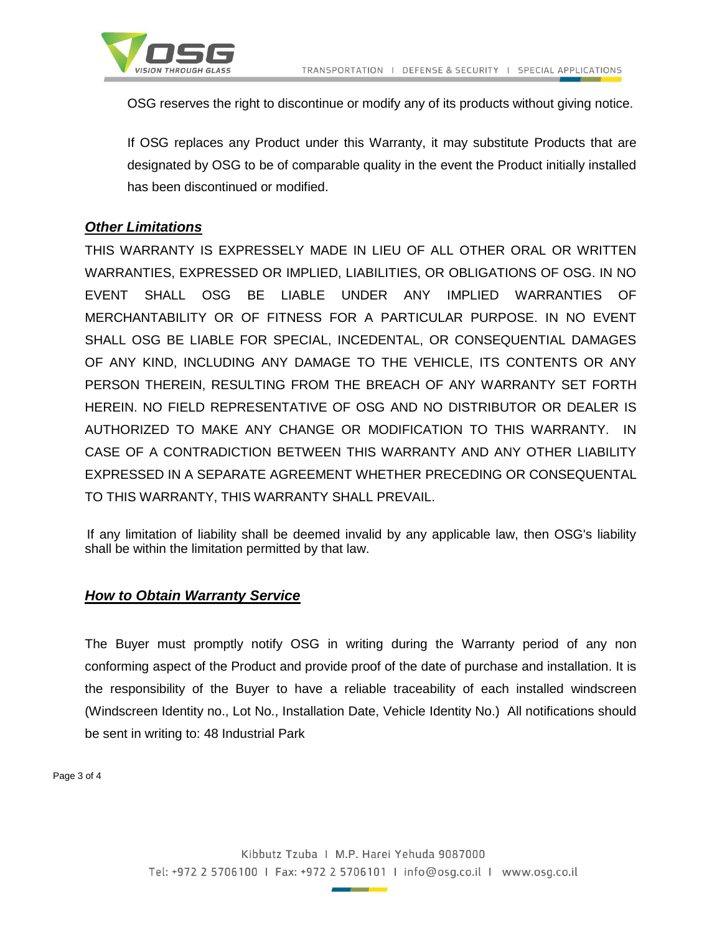



OSG reserves the right to discontinue or modify any of its products without giving notice.

If OSG replaces any Product under this Warranty, it may substitute Products that are designated by OSG to be of comparable quality in the event the Product initially installed has been discontinued or modified.

# *Other Limitations*

THIS WARRANTY IS EXPRESSELY MADE IN LIEU OF ALL OTHER ORAL OR WRITTEN WARRANTIES, EXPRESSED OR IMPLIED, LIABILITIES, OR OBLIGATIONS OF OSG. IN NO EVENT SHALL OSG BE LIABLE UNDER ANY IMPLIED WARRANTIES OF MERCHANTABILITY OR OF FITNESS FOR A PARTICULAR PURPOSE. IN NO EVENT SHALL OSG BE LIABLE FOR SPECIAL, INCEDENTAL, OR CONSEQUENTIAL DAMAGES OF ANY KIND, INCLUDING ANY DAMAGE TO THE VEHICLE, ITS CONTENTS OR ANY PERSON THEREIN, RESULTING FROM THE BREACH OF ANY WARRANTY SET FORTH HEREIN. NO FIELD REPRESENTATIVE OF OSG AND NO DISTRIBUTOR OR DEALER IS AUTHORIZED TO MAKE ANY CHANGE OR MODIFICATION TO THIS WARRANTY. IN CASE OF A CONTRADICTION BETWEEN THIS WARRANTY AND ANY OTHER LIABILITY EXPRESSED IN A SEPARATE AGREEMENT WHETHER PRECEDING OR CONSEQUENTAL TO THIS WARRANTY, THIS WARRANTY SHALL PREVAIL.

 If any limitation of liability shall be deemed invalid by any applicable law, then OSG's liability shall be within the limitation permitted by that law.

## *How to Obtain Warranty Service*

The Buyer must promptly notify OSG in writing during the Warranty period of any non conforming aspect of the Product and provide proof of the date of purchase and installation. It is the responsibility of the Buyer to have a reliable traceability of each installed windscreen (Windscreen Identity no., Lot No., Installation Date, Vehicle Identity No.) All notifications should be sent in writing to: 48 Industrial Park

Page 3 of 4